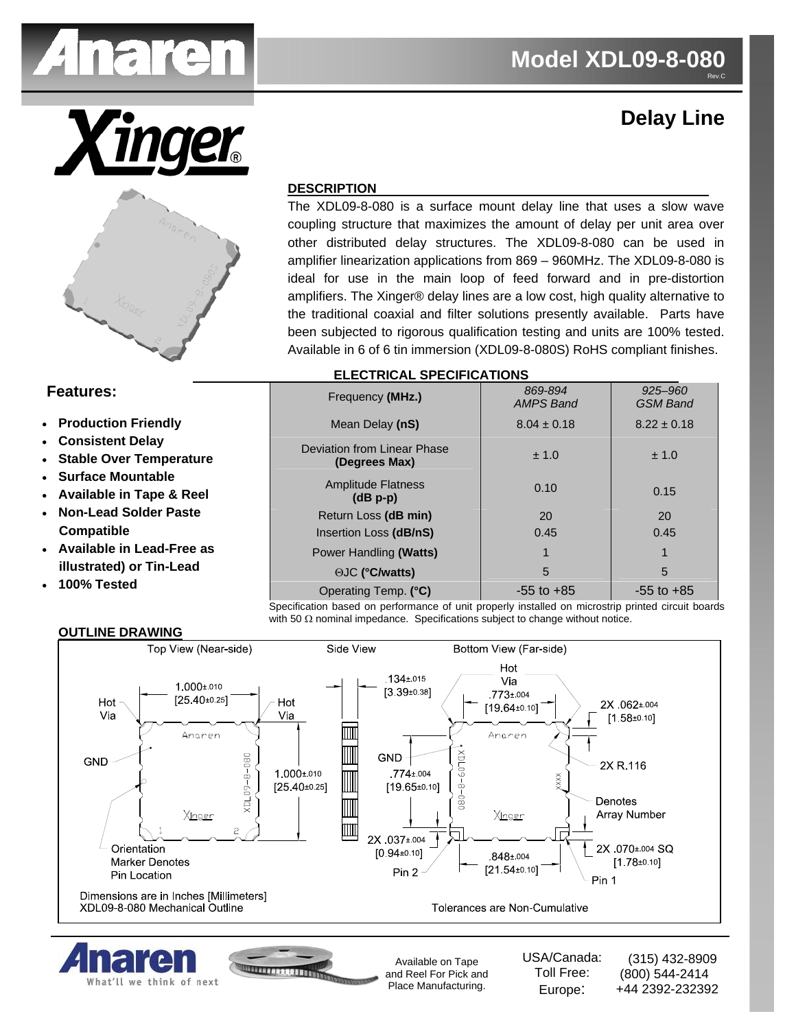

# **Delay Line**



# **DESCRIPTION**

The XDL09-8-080 is a surface mount delay line that uses a slow wave coupling structure that maximizes the amount of delay per unit area over other distributed delay structures. The XDL09-8-080 can be used in amplifier linearization applications from 869 – 960MHz. The XDL09-8-080 is ideal for use in the main loop of feed forward and in pre-distortion amplifiers. The Xinger® delay lines are a low cost, high quality alternative to the traditional coaxial and filter solutions presently available. Parts have been subjected to rigorous qualification testing and units are 100% tested. Available in 6 of 6 tin immersion (XDL09-8-080S) RoHS compliant finishes.

### **Features:**

- **Production Friendly**
- **Consistent Delay**
- **Stable Over Temperature**
- **Surface Mountable**
- **Available in Tape & Reel**
- **Non-Lead Solder Paste Compatible**
- **Available in Lead-Free as illustrated) or Tin-Lead**
- **100% Tested**

#### Frequency **(MHz.)** *869-894 AMPS Band 925–960 GSM Band*  Mean Delay (nS)  $8.04 \pm 0.18$  8.22 ± 0.18 Deviation from Linear Phase **(Degrees Max)**  $\pm 1.0$   $\pm 1.0$   $\pm 1.0$ Amplitude Flatness **(dB p-p)**   $0.10$  0.15 Return Loss (dB min) 20 20 20 Insertion Loss (dB/nS)  $\vert$  0.45  $\vert$  0.45 Power Handling **(Watts)** 1 1 1 1 1 1 1 1 1 ΘJC **(°C/watts)** 5 5 Operating Temp. (°C)  $\vert$  -55 to +85 -55 to +85

 **ELECTRICAL SPECIFICATIONS** 

Specification based on performance of unit properly installed on microstrip printed circuit boards with 50 Ω nominal impedance. Specifications subject to change without notice.



# **OUTLINE DRAWING**



INTERFEREEFEN

Available on Tape and Reel For Pick and Place Manufacturing.

USA/Canada: Toll Free: Europe:

 (315) 432-8909 (800) 544-2414 +44 2392-232392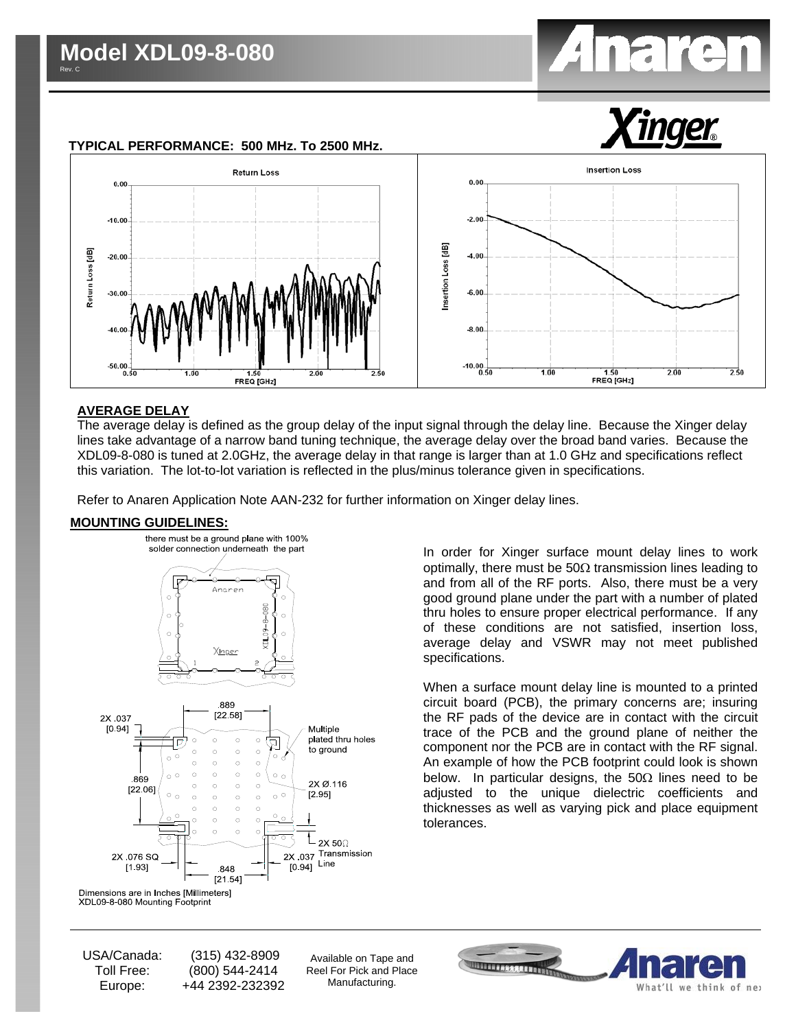



# **AVERAGE DELAY**

The average delay is defined as the group delay of the input signal through the delay line. Because the Xinger delay lines take advantage of a narrow band tuning technique, the average delay over the broad band varies. Because the XDL09-8-080 is tuned at 2.0GHz, the average delay in that range is larger than at 1.0 GHz and specifications reflect this variation. The lot-to-lot variation is reflected in the plus/minus tolerance given in specifications.

Refer to Anaren Application Note AAN-232 for further information on Xinger delay lines.

#### **MOUNTING GUIDELINES:**



In order for Xinger surface mount delay lines to work optimally, there must be 50Ω transmission lines leading to and from all of the RF ports. Also, there must be a very good ground plane under the part with a number of plated thru holes to ensure proper electrical performance. If any of these conditions are not satisfied, insertion loss, average delay and VSWR may not meet published specifications.

When a surface mount delay line is mounted to a printed circuit board (PCB), the primary concerns are; insuring the RF pads of the device are in contact with the circuit trace of the PCB and the ground plane of neither the component nor the PCB are in contact with the RF signal. An example of how the PCB footprint could look is shown below. In particular designs, the  $50\Omega$  lines need to be adjusted to the unique dielectric coefficients and thicknesses as well as varying pick and place equipment tolerances.

USA/Canada: Toll Free: Europe:

 (315) 432-8909 (800) 544-2414 +44 2392-232392

Available on Tape and Reel For Pick and Place Manufacturing.